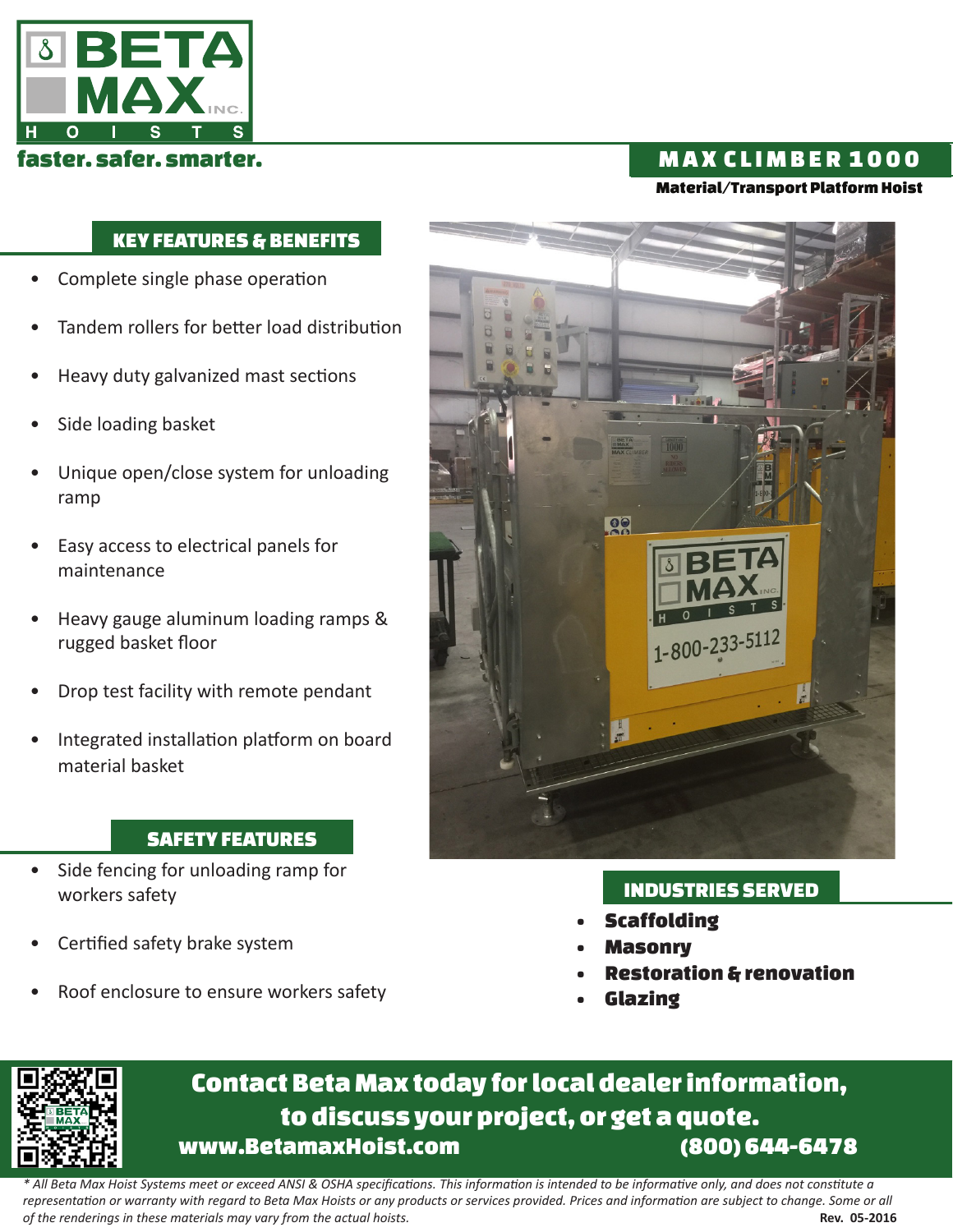

## faster. safer. smarter. M A X C L I M B E R 1 0 0 0

#### Material/Transport Platform Hoist

### KEY FEATURES & BENEFITS

- Complete single phase operation
- Tandem rollers for better load distribution
- Heavy duty galvanized mast sections
- Side loading basket
- Unique open/close system for unloading ramp
- Easy access to electrical panels for maintenance
- Heavy gauge aluminum loading ramps & rugged basket floor
- Drop test facility with remote pendant
- Integrated installation platform on board material basket

#### SAFETY FEATURES

- Side fencing for unloading ramp for workers safety
- Certified safety brake system
- Roof enclosure to ensure workers safety



#### INDUSTRIES SERVED

- **Scaffolding**
- **Masonry**
- Restoration & renovation
- **Glazing**



# Contact Beta Max today for local dealer information, to discuss your project, or get a quote. www.BetamaxHoist.com (800) 644-6478

*\* All Beta Max Hoist Systems meet or exceed ANSI & OSHA specifications. This information is intended to be informative only, and does not constitute a representation or warranty with regard to Beta Max Hoists or any products or services provided. Prices and information are subject to change. Some or all of the renderings in these materials may vary from the actual hoists.* **Rev. 05-2016 Rev. 05-2016**